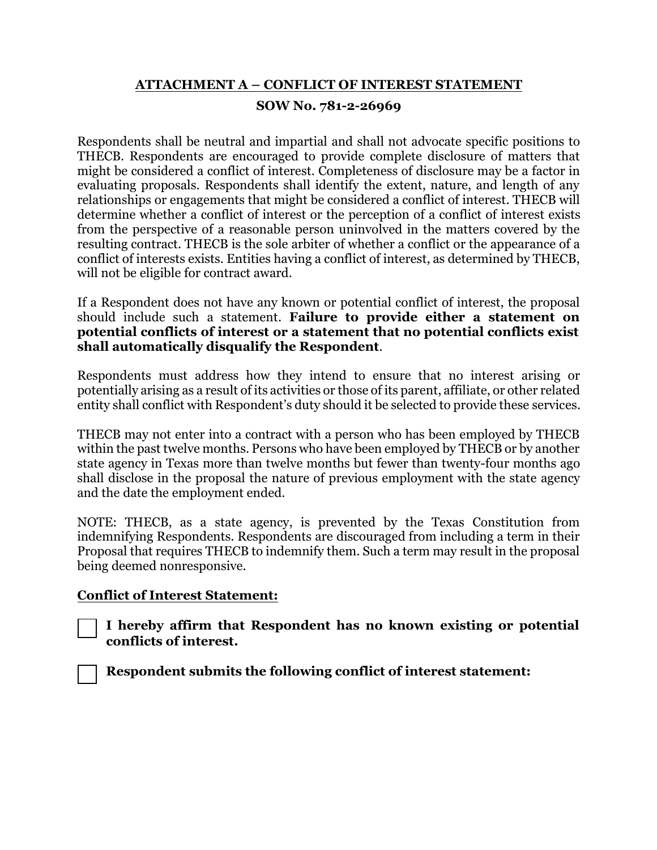## **ATTACHMENT A – CONFLICT OF INTEREST STATEMENT SOW No. 781-2-26969**

 determine whether a conflict of interest or the perception of a conflict of interest exists resulting contract. THECB is the sole arbiter of whether a conflict or the appearance of a Respondents shall be neutral and impartial and shall not advocate specific positions to THECB. Respondents are encouraged to provide complete disclosure of matters that might be considered a conflict of interest. Completeness of disclosure may be a factor in evaluating proposals. Respondents shall identify the extent, nature, and length of any relationships or engagements that might be considered a conflict of interest. THECB will from the perspective of a reasonable person uninvolved in the matters covered by the conflict of interests exists. Entities having a conflict of interest, as determined by THECB, will not be eligible for contract award.

If a Respondent does not have any known or potential conflict of interest, the proposal should include such a statement. **Failure to provide either a statement on potential conflicts of interest or a statement that no potential conflicts exist shall automatically disqualify the Respondent**.

 potentially arising as a result of its activities or those of its parent, affiliate, or other related Respondents must address how they intend to ensure that no interest arising or entity shall conflict with Respondent's duty should it be selected to provide these services.

 state agency in Texas more than twelve months but fewer than twenty-four months ago and the date the employment ended. THECB may not enter into a contract with a person who has been employed by THECB within the past twelve months. Persons who have been employed by THECB or by another shall disclose in the proposal the nature of previous employment with the state agency

 NOTE: THECB, as a state agency, is prevented by the Texas Constitution from indemnifying Respondents. Respondents are discouraged from including a term in their Proposal that requires THECB to indemnify them. Such a term may result in the proposal being deemed nonresponsive.

## **Conflict of Interest Statement:**



☐ **I hereby affirm that Respondent has no known existing or potential conflicts of interest.**

☐ **Respondent submits the following conflict of interest statement:**